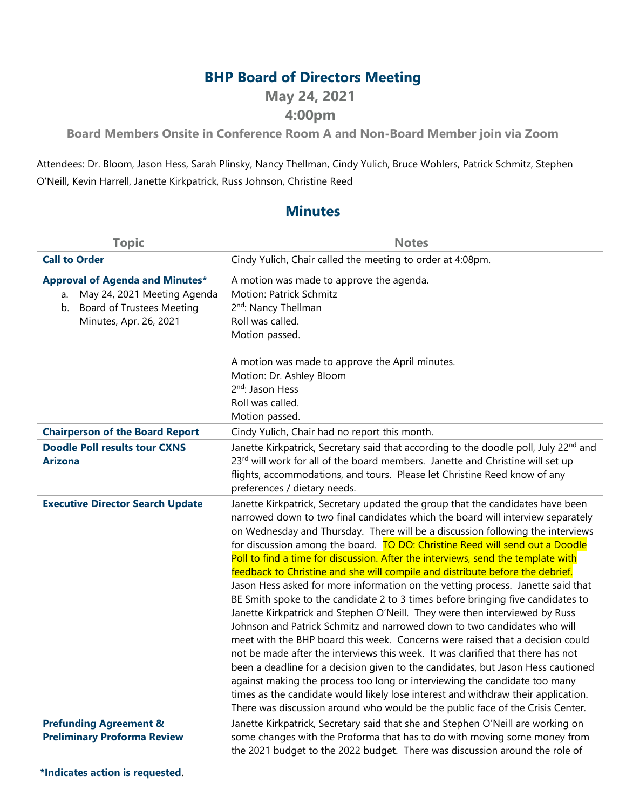## **BHP Board of Directors Meeting**

**May 24, 2021**

## **4:00pm**

**Board Members Onsite in Conference Room A and Non-Board Member join via Zoom**

Attendees: Dr. Bloom, Jason Hess, Sarah Plinsky, Nancy Thellman, Cindy Yulich, Bruce Wohlers, Patrick Schmitz, Stephen O'Neill, Kevin Harrell, Janette Kirkpatrick, Russ Johnson, Christine Reed

## **Minutes**

| <b>Topic</b>                                                                                                                                    | <b>Notes</b>                                                                                                                                                                                                                                                                                                                                                                                                                                                                                                                                                                                                                                                                                                                                                                                                                                                                                                                                                                                                                                                                                                                                                                                                                                                                                                                                           |
|-------------------------------------------------------------------------------------------------------------------------------------------------|--------------------------------------------------------------------------------------------------------------------------------------------------------------------------------------------------------------------------------------------------------------------------------------------------------------------------------------------------------------------------------------------------------------------------------------------------------------------------------------------------------------------------------------------------------------------------------------------------------------------------------------------------------------------------------------------------------------------------------------------------------------------------------------------------------------------------------------------------------------------------------------------------------------------------------------------------------------------------------------------------------------------------------------------------------------------------------------------------------------------------------------------------------------------------------------------------------------------------------------------------------------------------------------------------------------------------------------------------------|
| <b>Call to Order</b>                                                                                                                            | Cindy Yulich, Chair called the meeting to order at 4:08pm.                                                                                                                                                                                                                                                                                                                                                                                                                                                                                                                                                                                                                                                                                                                                                                                                                                                                                                                                                                                                                                                                                                                                                                                                                                                                                             |
| <b>Approval of Agenda and Minutes*</b><br>May 24, 2021 Meeting Agenda<br>a.<br><b>Board of Trustees Meeting</b><br>b.<br>Minutes, Apr. 26, 2021 | A motion was made to approve the agenda.<br><b>Motion: Patrick Schmitz</b><br>2 <sup>nd</sup> : Nancy Thellman<br>Roll was called.<br>Motion passed.                                                                                                                                                                                                                                                                                                                                                                                                                                                                                                                                                                                                                                                                                                                                                                                                                                                                                                                                                                                                                                                                                                                                                                                                   |
|                                                                                                                                                 | A motion was made to approve the April minutes.<br>Motion: Dr. Ashley Bloom<br>2 <sup>nd</sup> : Jason Hess<br>Roll was called.<br>Motion passed.                                                                                                                                                                                                                                                                                                                                                                                                                                                                                                                                                                                                                                                                                                                                                                                                                                                                                                                                                                                                                                                                                                                                                                                                      |
| <b>Chairperson of the Board Report</b>                                                                                                          | Cindy Yulich, Chair had no report this month.                                                                                                                                                                                                                                                                                                                                                                                                                                                                                                                                                                                                                                                                                                                                                                                                                                                                                                                                                                                                                                                                                                                                                                                                                                                                                                          |
| <b>Doodle Poll results tour CXNS</b><br><b>Arizona</b>                                                                                          | Janette Kirkpatrick, Secretary said that according to the doodle poll, July 22nd and<br>23rd will work for all of the board members. Janette and Christine will set up<br>flights, accommodations, and tours. Please let Christine Reed know of any<br>preferences / dietary needs.                                                                                                                                                                                                                                                                                                                                                                                                                                                                                                                                                                                                                                                                                                                                                                                                                                                                                                                                                                                                                                                                    |
| <b>Executive Director Search Update</b>                                                                                                         | Janette Kirkpatrick, Secretary updated the group that the candidates have been<br>narrowed down to two final candidates which the board will interview separately<br>on Wednesday and Thursday. There will be a discussion following the interviews<br>for discussion among the board. TO DO: Christine Reed will send out a Doodle<br>Poll to find a time for discussion. After the interviews, send the template with<br>feedback to Christine and she will compile and distribute before the debrief.<br>Jason Hess asked for more information on the vetting process. Janette said that<br>BE Smith spoke to the candidate 2 to 3 times before bringing five candidates to<br>Janette Kirkpatrick and Stephen O'Neill. They were then interviewed by Russ<br>Johnson and Patrick Schmitz and narrowed down to two candidates who will<br>meet with the BHP board this week. Concerns were raised that a decision could<br>not be made after the interviews this week. It was clarified that there has not<br>been a deadline for a decision given to the candidates, but Jason Hess cautioned<br>against making the process too long or interviewing the candidate too many<br>times as the candidate would likely lose interest and withdraw their application.<br>There was discussion around who would be the public face of the Crisis Center. |
| <b>Prefunding Agreement &amp;</b><br><b>Preliminary Proforma Review</b>                                                                         | Janette Kirkpatrick, Secretary said that she and Stephen O'Neill are working on<br>some changes with the Proforma that has to do with moving some money from<br>the 2021 budget to the 2022 budget. There was discussion around the role of                                                                                                                                                                                                                                                                                                                                                                                                                                                                                                                                                                                                                                                                                                                                                                                                                                                                                                                                                                                                                                                                                                            |